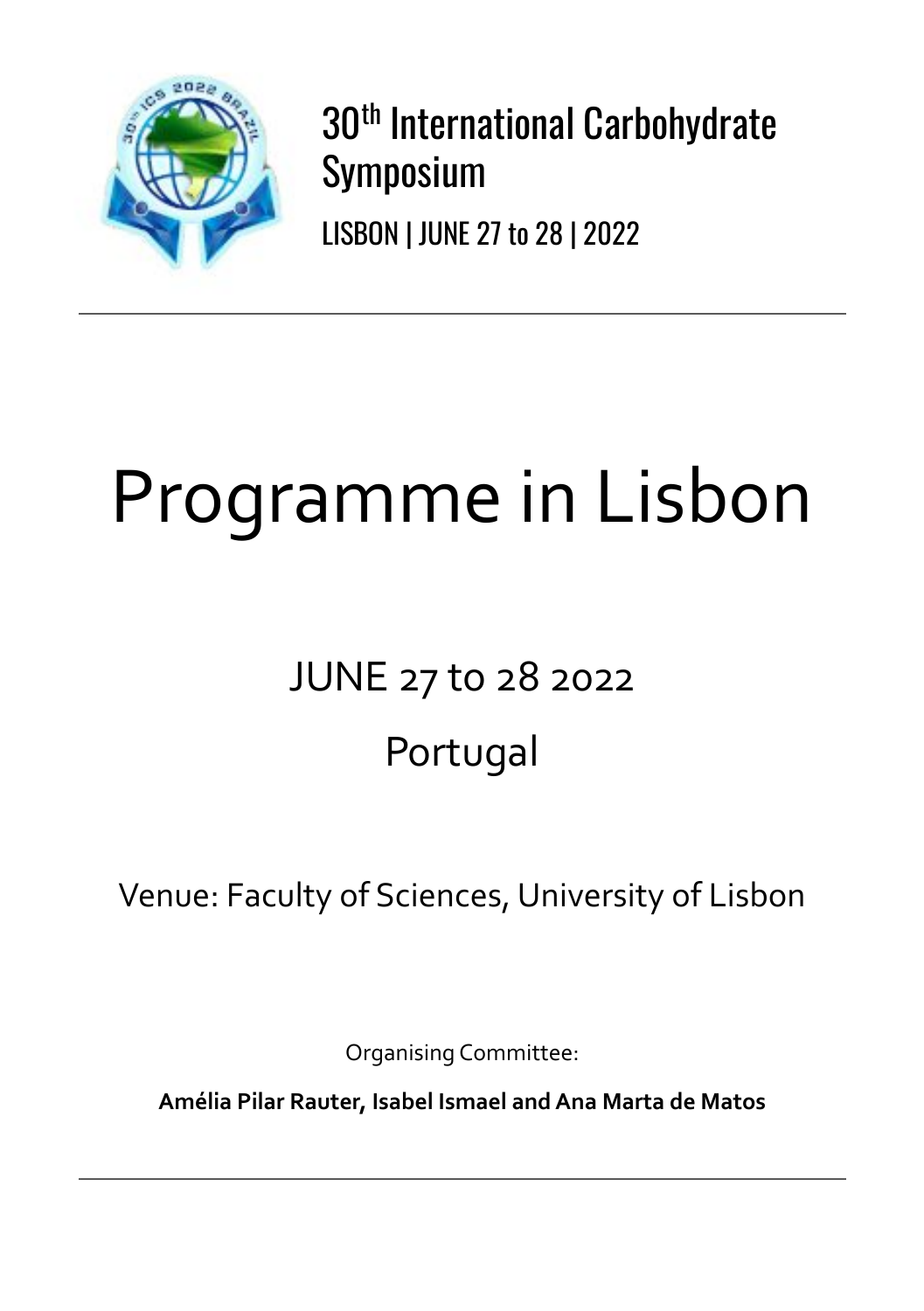

30th International Carbohydrate Symposium

LISBON | JUNE 27 to 28 | 2022

# Programme in Lisbon

# JUNE 27 to 28 2022 Portugal

Venue: Faculty of Sciences, University of Lisbon

Organising Committee:

**Amélia Pilar Rauter, Isabel Ismael and Ana Marta de Matos**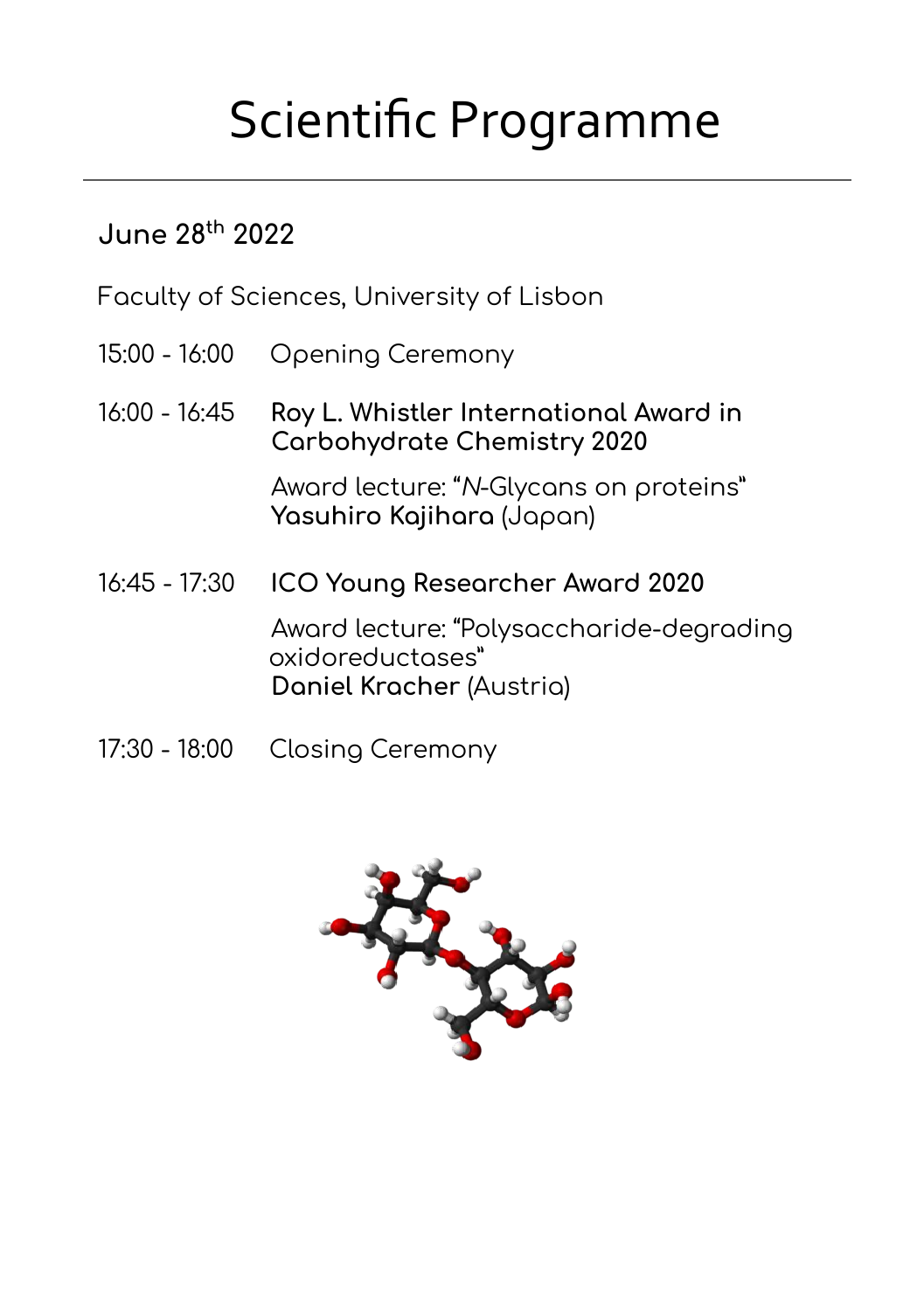## Scientific Programme

#### **June 28th 2022**

Faculty of Sciences, University of Lisbon

- 15:00 16:00 Opening Ceremony
- 16:00 16:45 **Roy L. Whistler International Award in Carbohydrate Chemistry 2020**

 Award lecture: "N-Glycans on proteins" **Yasuhiro Kajihara** (Japan)

- 16:45 17:30 **ICO Young Researcher Award 2020** Award lecture: "Polysaccharide-degrading oxidoreductases" **Daniel Kracher** (Austria)
- 17:30 18:00 Closing Ceremony

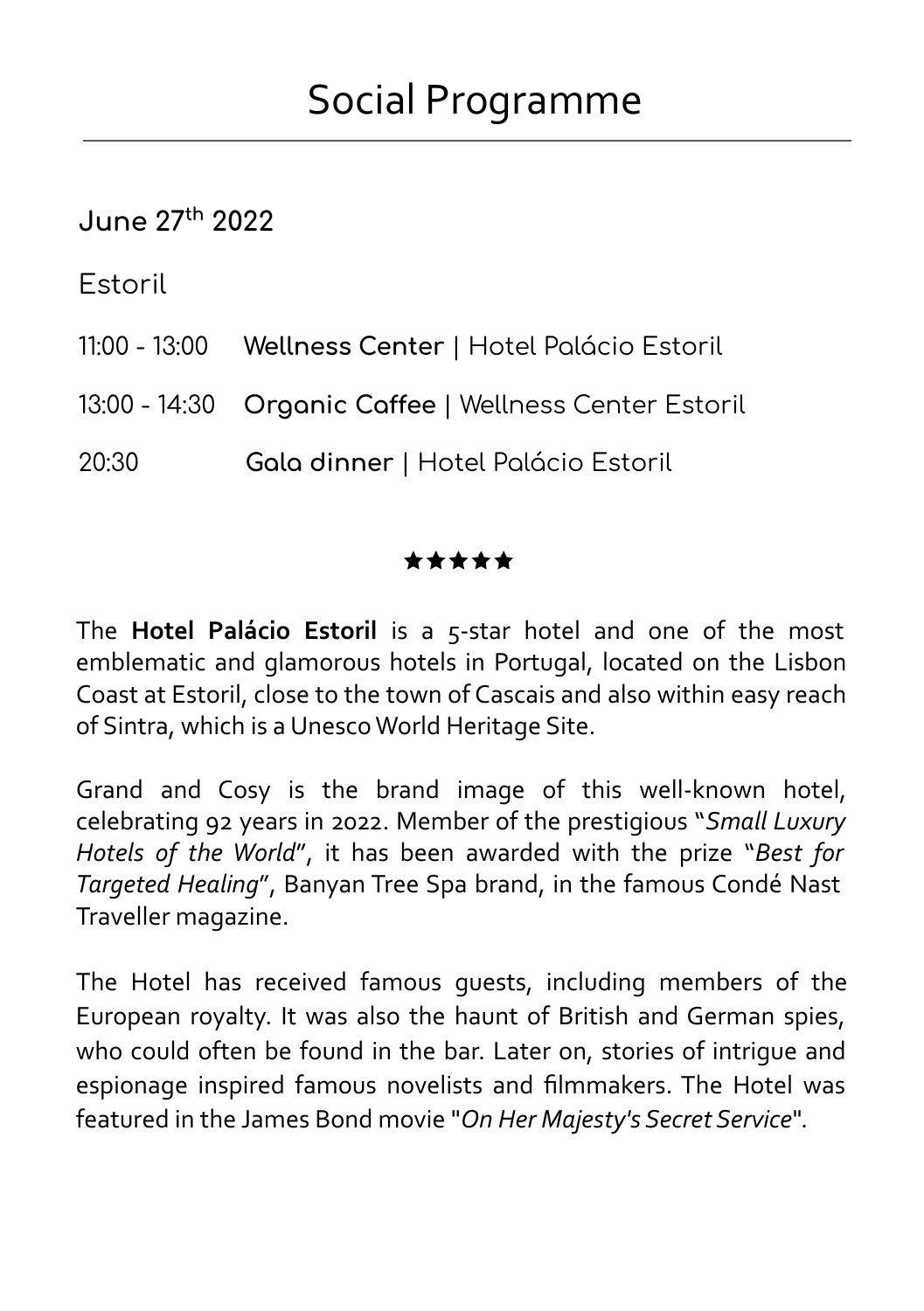#### **June 27th 2022**

Estoril

- 11:00 13:00 **Wellness Center** | Hotel Palácio Estoril
- 13:00 14:30 **Organic Caffee** | Wellness Center Estoril
- 20:30 **Gala dinner** | Hotel Palácio Estoril

#### \*\*\*\*\*

The **Hotel Palácio Estoril** is a 5-star hotel and one of the most emblematic and glamorous hotels in Portugal, located on the Lisbon Coast at Estoril, close to the town of Cascais and also within easy reach of Sintra, which is a Unesco World Heritage Site.

Grand and Cosy is the brand image of this well-known hotel, celebrating 92 years in 2022. Member of the prestigious "*Small Luxury Hotels of the World*", it has been awarded with the prize "*Best for Targeted Healing*", Banyan Tree Spa brand, in the famous Condé Nast Traveller magazine.

The Hotel has received famous guests, including members of the European royalty. It was also the haunt of British and German spies, who could often be found in the bar. Later on, stories of intrigue and espionage inspired famous novelists and filmmakers. The Hotel was featured in the James Bond movie "*On Her Majesty's Secret Service*".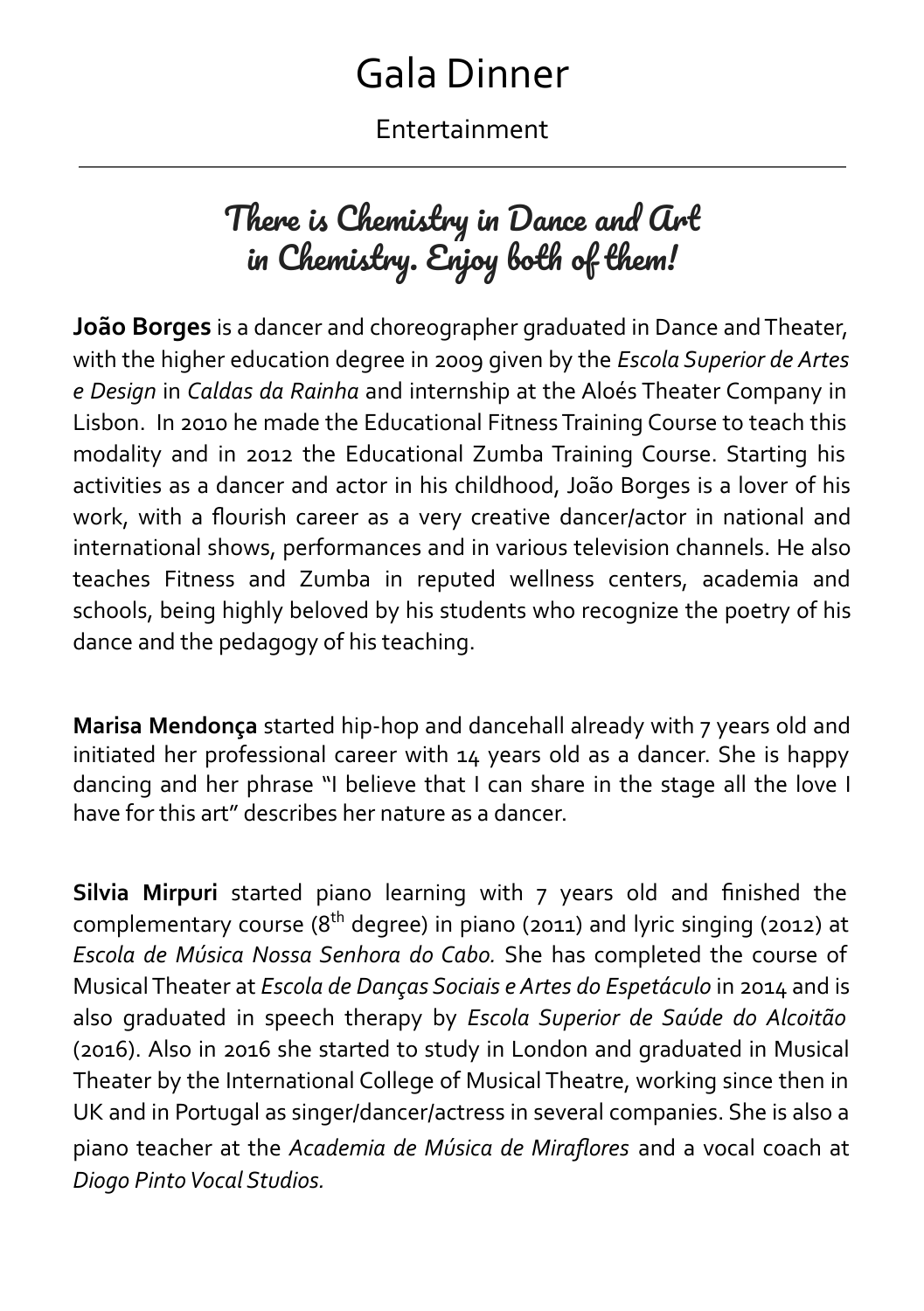### Gala Dinner

Entertainment

### There is Chemistry in Dance and Art in Chemistry. Enjoy both of them!

**João Borges** is a dancer and choreographer graduated in Dance and Theater, with the higher education degree in 2009 given by the *Escola Superior de Artes e Design* in *Caldas da Rainha* and internship at the Aloés Theater Company in Lisbon. In 2010 he made the Educational Fitness Training Course to teach this modality and in 2012 the Educational Zumba Training Course. Starting his activities as a dancer and actor in his childhood, João Borges is a lover of his work, with a flourish career as a very creative dancer/actor in national and international shows, performances and in various television channels. He also teaches Fitness and Zumba in reputed wellness centers, academia and schools, being highly beloved by his students who recognize the poetry of his dance and the pedagogy of his teaching.

**Marisa Mendonça** started hip-hop and dancehall already with 7 years old and initiated her professional career with 14 years old as a dancer. She is happy dancing and her phrase "I believe that I can share in the stage all the love I have for this art" describes her nature as a dancer.

**Silvia Mirpuri** started piano learning with 7 years old and finished the complementary course ( $8<sup>th</sup>$  degree) in piano (2011) and lyric singing (2012) at *Escola de Música Nossa Senhora do Cabo.* She has completed the course of Musical Theater at *Escola de Danças Sociais e Artes do Espetáculo* in 2014 and is also graduated in speech therapy by *Escola Superior de Saúde do Alcoitão*  (2016). Also in 2016 she started to study in London and graduated in Musical Theater by the International College of Musical Theatre, working since then in UK and in Portugal as singer/dancer/actress in several companies. She is also a piano teacher at the *Academia de Música de Miraflores* and a vocal coach at *Diogo Pinto Vocal Studios.*